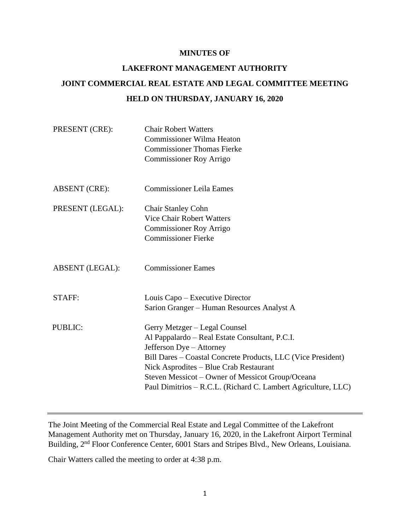#### **MINUTES OF**

# **LAKEFRONT MANAGEMENT AUTHORITY JOINT COMMERCIAL REAL ESTATE AND LEGAL COMMITTEE MEETING HELD ON THURSDAY, JANUARY 16, 2020**

| PRESENT (CRE):         | <b>Chair Robert Watters</b><br><b>Commissioner Wilma Heaton</b><br><b>Commissioner Thomas Fierke</b><br><b>Commissioner Roy Arrigo</b>                                                                                                                                                                                                     |
|------------------------|--------------------------------------------------------------------------------------------------------------------------------------------------------------------------------------------------------------------------------------------------------------------------------------------------------------------------------------------|
| <b>ABSENT</b> (CRE):   | <b>Commissioner Leila Eames</b>                                                                                                                                                                                                                                                                                                            |
| PRESENT (LEGAL):       | <b>Chair Stanley Cohn</b><br><b>Vice Chair Robert Watters</b><br><b>Commissioner Roy Arrigo</b><br><b>Commissioner Fierke</b>                                                                                                                                                                                                              |
| <b>ABSENT</b> (LEGAL): | <b>Commissioner Eames</b>                                                                                                                                                                                                                                                                                                                  |
| <b>STAFF:</b>          | Louis Capo – Executive Director<br>Sarion Granger - Human Resources Analyst A                                                                                                                                                                                                                                                              |
| <b>PUBLIC:</b>         | Gerry Metzger – Legal Counsel<br>Al Pappalardo - Real Estate Consultant, P.C.I.<br>Jefferson Dye - Attorney<br>Bill Dares – Coastal Concrete Products, LLC (Vice President)<br>Nick Asprodites – Blue Crab Restaurant<br>Steven Messicot – Owner of Messicot Group/Oceana<br>Paul Dimitrios - R.C.L. (Richard C. Lambert Agriculture, LLC) |

The Joint Meeting of the Commercial Real Estate and Legal Committee of the Lakefront Management Authority met on Thursday, January 16, 2020, in the Lakefront Airport Terminal Building, 2<sup>nd</sup> Floor Conference Center, 6001 Stars and Stripes Blvd., New Orleans, Louisiana.

Chair Watters called the meeting to order at 4:38 p.m.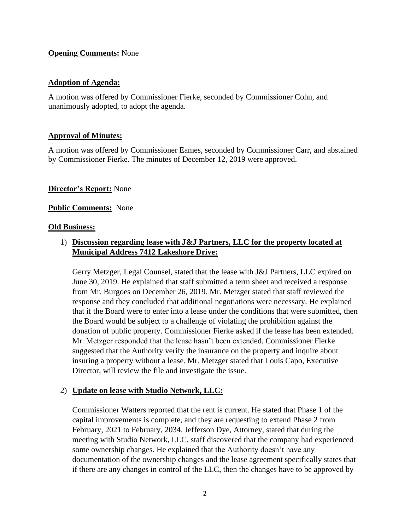## **Opening Comments:** None

# **Adoption of Agenda:**

A motion was offered by Commissioner Fierke, seconded by Commissioner Cohn, and unanimously adopted, to adopt the agenda.

# **Approval of Minutes:**

A motion was offered by Commissioner Eames, seconded by Commissioner Carr, and abstained by Commissioner Fierke. The minutes of December 12, 2019 were approved.

# **Director's Report:** None

# **Public Comments:** None

#### **Old Business:**

# 1) **Discussion regarding lease with J&J Partners, LLC for the property located at Municipal Address 7412 Lakeshore Drive:**

Gerry Metzger, Legal Counsel, stated that the lease with J&J Partners, LLC expired on June 30, 2019. He explained that staff submitted a term sheet and received a response from Mr. Burgoes on December 26, 2019. Mr. Metzger stated that staff reviewed the response and they concluded that additional negotiations were necessary. He explained that if the Board were to enter into a lease under the conditions that were submitted, then the Board would be subject to a challenge of violating the prohibition against the donation of public property. Commissioner Fierke asked if the lease has been extended. Mr. Metzger responded that the lease hasn't been extended. Commissioner Fierke suggested that the Authority verify the insurance on the property and inquire about insuring a property without a lease. Mr. Metzger stated that Louis Capo, Executive Director, will review the file and investigate the issue.

# 2) **Update on lease with Studio Network, LLC:**

Commissioner Watters reported that the rent is current. He stated that Phase 1 of the capital improvements is complete, and they are requesting to extend Phase 2 from February, 2021 to February, 2034. Jefferson Dye, Attorney, stated that during the meeting with Studio Network, LLC, staff discovered that the company had experienced some ownership changes. He explained that the Authority doesn't have any documentation of the ownership changes and the lease agreement specifically states that if there are any changes in control of the LLC, then the changes have to be approved by